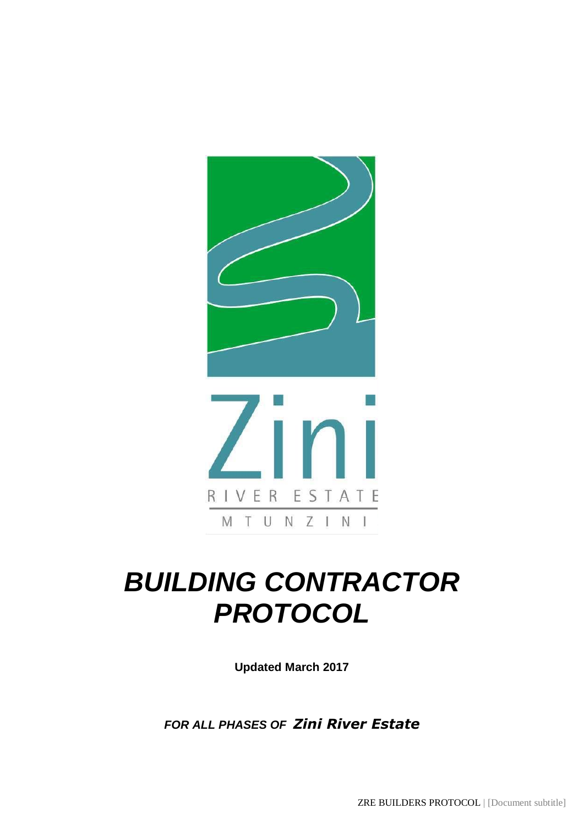

# *BUILDING CONTRACTOR PROTOCOL*

**Updated March 2017**

*FOR ALL PHASES OF Zini River Estate*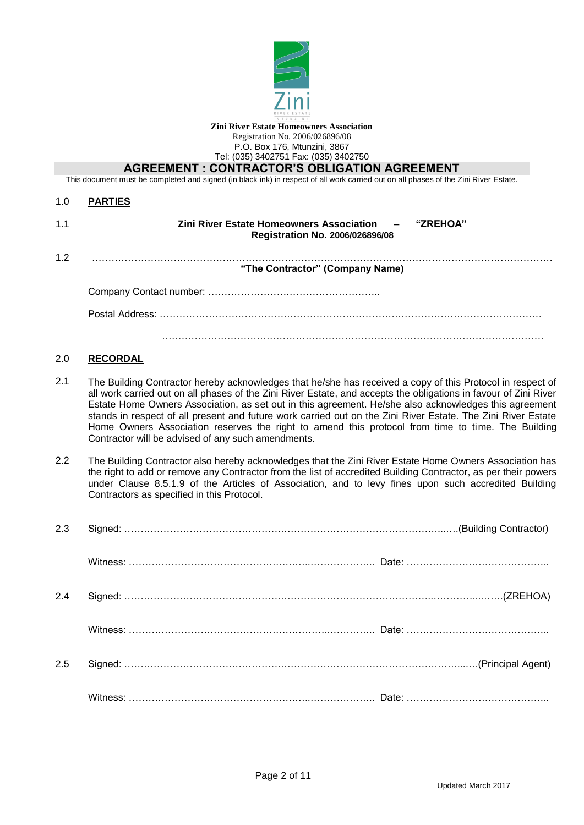

**Zini River Estate Homeowners Association** Registration No. 2006/026896/08

P.O. Box 176, Mtunzini, 3867

Tel: (035) 3402751 Fax: (035) 3402750

#### **AGREEMENT : CONTRACTOR'S OBLIGATION AGREEMENT**

This document must be completed and signed (in black ink) in respect of all work carried out on all phases of the Zini River Estate.

| 1.0 | <b>PARTIES</b>                                                                                                                                                                                                                                                                                                                                                                                                                                                                                                                                                                                                     |  |
|-----|--------------------------------------------------------------------------------------------------------------------------------------------------------------------------------------------------------------------------------------------------------------------------------------------------------------------------------------------------------------------------------------------------------------------------------------------------------------------------------------------------------------------------------------------------------------------------------------------------------------------|--|
| 1.1 | <b>Zini River Estate Homeowners Association</b><br>"ZREHOA"<br>Registration No. 2006/026896/08                                                                                                                                                                                                                                                                                                                                                                                                                                                                                                                     |  |
| 1.2 | "The Contractor" (Company Name)                                                                                                                                                                                                                                                                                                                                                                                                                                                                                                                                                                                    |  |
|     |                                                                                                                                                                                                                                                                                                                                                                                                                                                                                                                                                                                                                    |  |
|     |                                                                                                                                                                                                                                                                                                                                                                                                                                                                                                                                                                                                                    |  |
| 2.0 | <b>RECORDAL</b>                                                                                                                                                                                                                                                                                                                                                                                                                                                                                                                                                                                                    |  |
| 2.1 | The Building Contractor hereby acknowledges that he/she has received a copy of this Protocol in respect of<br>all work carried out on all phases of the Zini River Estate, and accepts the obligations in favour of Zini River<br>Estate Home Owners Association, as set out in this agreement. He/she also acknowledges this agreement<br>stands in respect of all present and future work carried out on the Zini River Estate. The Zini River Estate<br>Home Owners Association reserves the right to amend this protocol from time to time. The Building<br>Contractor will be advised of any such amendments. |  |
| 2.2 | The Building Contractor also hereby acknowledges that the Zini River Estate Home Owners Association has<br>the right to add or remove any Contractor from the list of accredited Building Contractor, as per their powers<br>under Clause 8.5.1.9 of the Articles of Association, and to levy fines upon such accredited Building<br>Contractors as specified in this Protocol.                                                                                                                                                                                                                                    |  |
| 2.3 |                                                                                                                                                                                                                                                                                                                                                                                                                                                                                                                                                                                                                    |  |
|     |                                                                                                                                                                                                                                                                                                                                                                                                                                                                                                                                                                                                                    |  |
| 2.4 |                                                                                                                                                                                                                                                                                                                                                                                                                                                                                                                                                                                                                    |  |
|     | Date:                                                                                                                                                                                                                                                                                                                                                                                                                                                                                                                                                                                                              |  |
| 2.5 |                                                                                                                                                                                                                                                                                                                                                                                                                                                                                                                                                                                                                    |  |
|     |                                                                                                                                                                                                                                                                                                                                                                                                                                                                                                                                                                                                                    |  |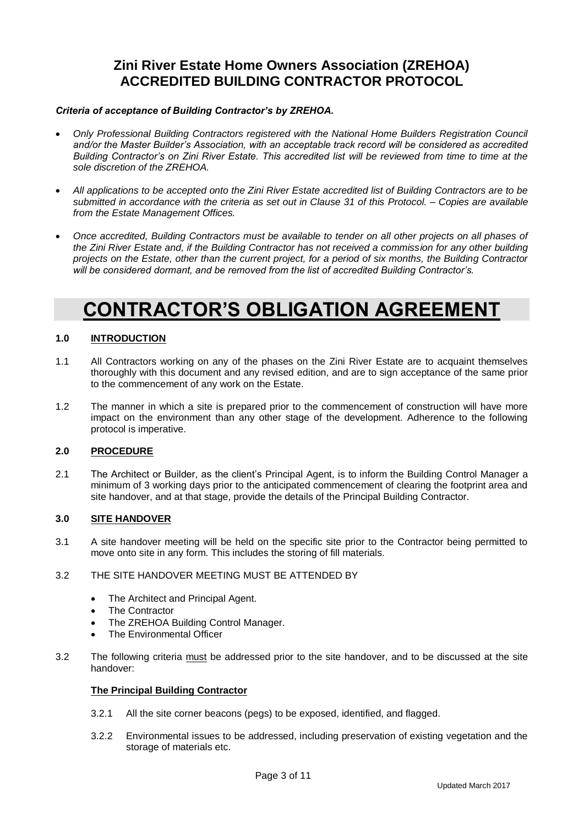### **Zini River Estate Home Owners Association (ZREHOA) ACCREDITED BUILDING CONTRACTOR PROTOCOL**

#### *Criteria of acceptance of Building Contractor's by ZREHOA.*

- *Only Professional Building Contractors registered with the National Home Builders Registration Council and/or the Master Builder's Association, with an acceptable track record will be considered as accredited Building Contractor's on Zini River Estate. This accredited list will be reviewed from time to time at the sole discretion of the ZREHOA.*
- *All applications to be accepted onto the Zini River Estate accredited list of Building Contractors are to be submitted in accordance with the criteria as set out in Clause 31 of this Protocol. – Copies are available from the Estate Management Offices.*
- *Once accredited, Building Contractors must be available to tender on all other projects on all phases of the Zini River Estate and, if the Building Contractor has not received a commission for any other building projects on the Estate, other than the current project, for a period of six months, the Building Contractor will be considered dormant, and be removed from the list of accredited Building Contractor's.*

## **CONTRACTOR'S OBLIGATION AGREEMENT**

#### **1.0 INTRODUCTION**

- 1.1 All Contractors working on any of the phases on the Zini River Estate are to acquaint themselves thoroughly with this document and any revised edition, and are to sign acceptance of the same prior to the commencement of any work on the Estate.
- 1.2 The manner in which a site is prepared prior to the commencement of construction will have more impact on the environment than any other stage of the development. Adherence to the following protocol is imperative.

#### **2.0 PROCEDURE**

2.1 The Architect or Builder, as the client's Principal Agent, is to inform the Building Control Manager a minimum of 3 working days prior to the anticipated commencement of clearing the footprint area and site handover, and at that stage, provide the details of the Principal Building Contractor.

#### **3.0 SITE HANDOVER**

3.1 A site handover meeting will be held on the specific site prior to the Contractor being permitted to move onto site in any form. This includes the storing of fill materials.

#### 3.2 THE SITE HANDOVER MEETING MUST BE ATTENDED BY

- The Architect and Principal Agent.
- The Contractor
- The ZREHOA Building Control Manager.
- The Environmental Officer
- 3.2 The following criteria must be addressed prior to the site handover, and to be discussed at the site handover:

#### **The Principal Building Contractor**

- 3.2.1 All the site corner beacons (pegs) to be exposed, identified, and flagged.
- 3.2.2 Environmental issues to be addressed, including preservation of existing vegetation and the storage of materials etc.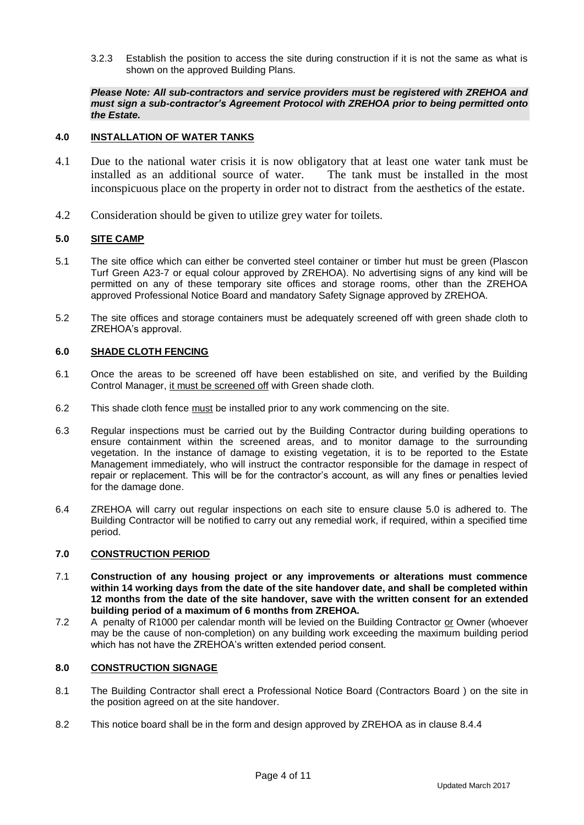3.2.3 Establish the position to access the site during construction if it is not the same as what is shown on the approved Building Plans.

#### *Please Note: All sub-contractors and service providers must be registered with ZREHOA and must sign a sub-contractor's Agreement Protocol with ZREHOA prior to being permitted onto the Estate.*

#### **4.0 INSTALLATION OF WATER TANKS**

- 4.1 Due to the national water crisis it is now obligatory that at least one water tank must be installed as an additional source of water. The tank must be installed in the most inconspicuous place on the property in order not to distract from the aesthetics of the estate.
- 4.2 Consideration should be given to utilize grey water for toilets.

#### **5.0 SITE CAMP**

- 5.1 The site office which can either be converted steel container or timber hut must be green (Plascon Turf Green A23-7 or equal colour approved by ZREHOA). No advertising signs of any kind will be permitted on any of these temporary site offices and storage rooms, other than the ZREHOA approved Professional Notice Board and mandatory Safety Signage approved by ZREHOA.
- 5.2 The site offices and storage containers must be adequately screened off with green shade cloth to ZREHOA's approval.

#### **6.0 SHADE CLOTH FENCING**

- 6.1 Once the areas to be screened off have been established on site, and verified by the Building Control Manager, it must be screened off with Green shade cloth.
- 6.2 This shade cloth fence must be installed prior to any work commencing on the site.
- 6.3 Regular inspections must be carried out by the Building Contractor during building operations to ensure containment within the screened areas, and to monitor damage to the surrounding vegetation. In the instance of damage to existing vegetation, it is to be reported to the Estate Management immediately, who will instruct the contractor responsible for the damage in respect of repair or replacement. This will be for the contractor's account, as will any fines or penalties levied for the damage done.
- 6.4 ZREHOA will carry out regular inspections on each site to ensure clause 5.0 is adhered to. The Building Contractor will be notified to carry out any remedial work, if required, within a specified time period.

#### **7.0 CONSTRUCTION PERIOD**

- 7.1 **Construction of any housing project or any improvements or alterations must commence within 14 working days from the date of the site handover date, and shall be completed within 12 months from the date of the site handover, save with the written consent for an extended building period of a maximum of 6 months from ZREHOA.**
- 7.2 A penalty of R1000 per calendar month will be levied on the Building Contractor or Owner (whoever may be the cause of non-completion) on any building work exceeding the maximum building period which has not have the ZREHOA's written extended period consent.

#### **8.0 CONSTRUCTION SIGNAGE**

- 8.1 The Building Contractor shall erect a Professional Notice Board (Contractors Board ) on the site in the position agreed on at the site handover.
- 8.2 This notice board shall be in the form and design approved by ZREHOA as in clause 8.4.4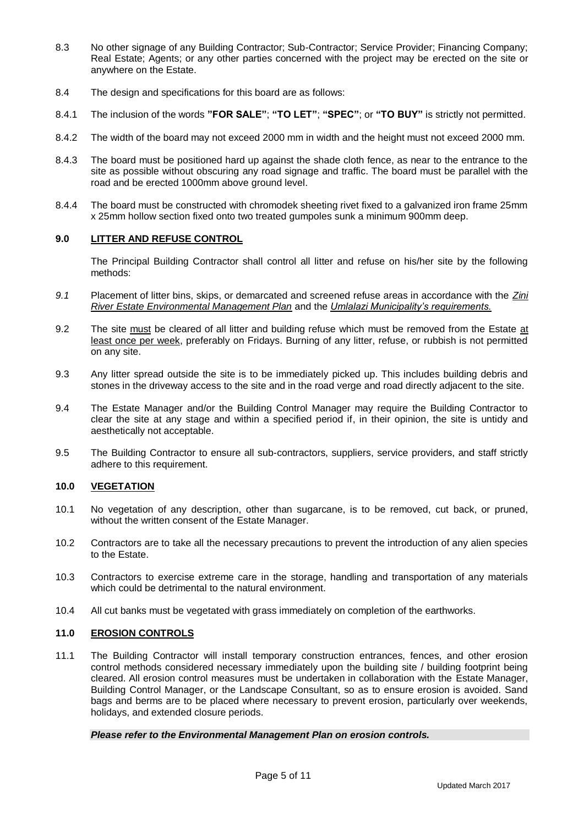- 8.3 No other signage of any Building Contractor; Sub-Contractor; Service Provider; Financing Company; Real Estate; Agents; or any other parties concerned with the project may be erected on the site or anywhere on the Estate.
- 8.4 The design and specifications for this board are as follows:
- 8.4.1 The inclusion of the words **"FOR SALE"**; **"TO LET"**; **"SPEC"**; or **"TO BUY"** is strictly not permitted.
- 8.4.2 The width of the board may not exceed 2000 mm in width and the height must not exceed 2000 mm.
- 8.4.3 The board must be positioned hard up against the shade cloth fence, as near to the entrance to the site as possible without obscuring any road signage and traffic. The board must be parallel with the road and be erected 1000mm above ground level.
- 8.4.4 The board must be constructed with chromodek sheeting rivet fixed to a galvanized iron frame 25mm x 25mm hollow section fixed onto two treated gumpoles sunk a minimum 900mm deep.

#### **9.0 LITTER AND REFUSE CONTROL**

The Principal Building Contractor shall control all litter and refuse on his/her site by the following methods:

- *9.1* Placement of litter bins, skips, or demarcated and screened refuse areas in accordance with the *Zini River Estate Environmental Management Plan* and the *Umlalazi Municipality's requirements.*
- 9.2 The site must be cleared of all litter and building refuse which must be removed from the Estate at least once per week, preferably on Fridays. Burning of any litter, refuse, or rubbish is not permitted on any site.
- 9.3 Any litter spread outside the site is to be immediately picked up. This includes building debris and stones in the driveway access to the site and in the road verge and road directly adjacent to the site.
- 9.4 The Estate Manager and/or the Building Control Manager may require the Building Contractor to clear the site at any stage and within a specified period if, in their opinion, the site is untidy and aesthetically not acceptable.
- 9.5 The Building Contractor to ensure all sub-contractors, suppliers, service providers, and staff strictly adhere to this requirement.

#### **10.0 VEGETATION**

- 10.1 No vegetation of any description, other than sugarcane, is to be removed, cut back, or pruned, without the written consent of the Estate Manager.
- 10.2 Contractors are to take all the necessary precautions to prevent the introduction of any alien species to the Estate.
- 10.3 Contractors to exercise extreme care in the storage, handling and transportation of any materials which could be detrimental to the natural environment.
- 10.4 All cut banks must be vegetated with grass immediately on completion of the earthworks.

#### **11.0 EROSION CONTROLS**

11.1 The Building Contractor will install temporary construction entrances, fences, and other erosion control methods considered necessary immediately upon the building site / building footprint being cleared. All erosion control measures must be undertaken in collaboration with the Estate Manager, Building Control Manager, or the Landscape Consultant, so as to ensure erosion is avoided. Sand bags and berms are to be placed where necessary to prevent erosion, particularly over weekends, holidays, and extended closure periods.

#### *Please refer to the Environmental Management Plan on erosion controls.*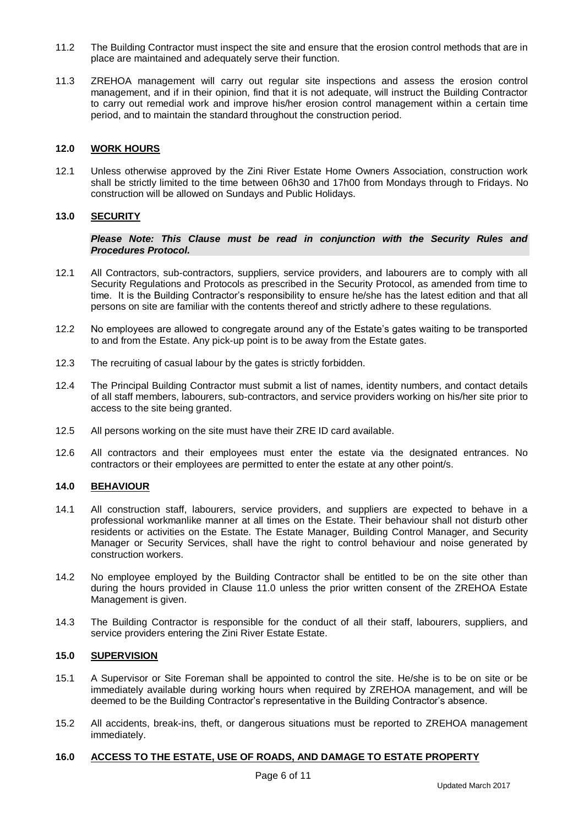- 11.2 The Building Contractor must inspect the site and ensure that the erosion control methods that are in place are maintained and adequately serve their function.
- 11.3 ZREHOA management will carry out regular site inspections and assess the erosion control management, and if in their opinion, find that it is not adequate, will instruct the Building Contractor to carry out remedial work and improve his/her erosion control management within a certain time period, and to maintain the standard throughout the construction period.

#### **12.0 WORK HOURS**

12.1 Unless otherwise approved by the Zini River Estate Home Owners Association, construction work shall be strictly limited to the time between 06h30 and 17h00 from Mondays through to Fridays. No construction will be allowed on Sundays and Public Holidays.

#### **13.0 SECURITY**

*Please Note: This Clause must be read in conjunction with the Security Rules and Procedures Protocol.*

- 12.1 All Contractors, sub-contractors, suppliers, service providers, and labourers are to comply with all Security Regulations and Protocols as prescribed in the Security Protocol, as amended from time to time. It is the Building Contractor's responsibility to ensure he/she has the latest edition and that all persons on site are familiar with the contents thereof and strictly adhere to these regulations.
- 12.2 No employees are allowed to congregate around any of the Estate's gates waiting to be transported to and from the Estate. Any pick-up point is to be away from the Estate gates.
- 12.3 The recruiting of casual labour by the gates is strictly forbidden.
- 12.4 The Principal Building Contractor must submit a list of names, identity numbers, and contact details of all staff members, labourers, sub-contractors, and service providers working on his/her site prior to access to the site being granted.
- 12.5 All persons working on the site must have their ZRE ID card available.
- 12.6 All contractors and their employees must enter the estate via the designated entrances. No contractors or their employees are permitted to enter the estate at any other point/s.

#### **14.0 BEHAVIOUR**

- 14.1 All construction staff, labourers, service providers, and suppliers are expected to behave in a professional workmanlike manner at all times on the Estate. Their behaviour shall not disturb other residents or activities on the Estate. The Estate Manager, Building Control Manager, and Security Manager or Security Services, shall have the right to control behaviour and noise generated by construction workers.
- 14.2 No employee employed by the Building Contractor shall be entitled to be on the site other than during the hours provided in Clause 11.0 unless the prior written consent of the ZREHOA Estate Management is given.
- 14.3 The Building Contractor is responsible for the conduct of all their staff, labourers, suppliers, and service providers entering the Zini River Estate Estate.

#### **15.0 SUPERVISION**

- 15.1 A Supervisor or Site Foreman shall be appointed to control the site. He/she is to be on site or be immediately available during working hours when required by ZREHOA management, and will be deemed to be the Building Contractor's representative in the Building Contractor's absence.
- 15.2 All accidents, break-ins, theft, or dangerous situations must be reported to ZREHOA management immediately.

#### **16.0 ACCESS TO THE ESTATE, USE OF ROADS, AND DAMAGE TO ESTATE PROPERTY**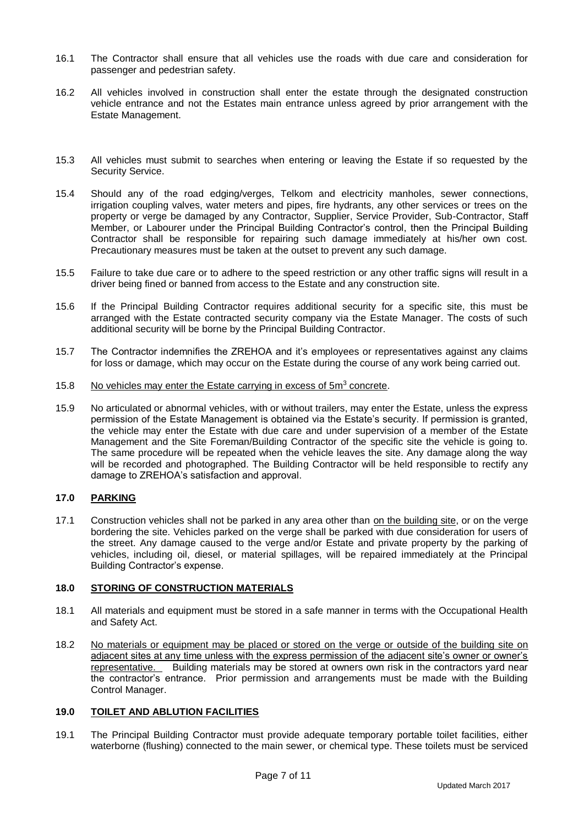- 16.1 The Contractor shall ensure that all vehicles use the roads with due care and consideration for passenger and pedestrian safety.
- 16.2 All vehicles involved in construction shall enter the estate through the designated construction vehicle entrance and not the Estates main entrance unless agreed by prior arrangement with the Estate Management.
- 15.3 All vehicles must submit to searches when entering or leaving the Estate if so requested by the Security Service.
- 15.4 Should any of the road edging/verges, Telkom and electricity manholes, sewer connections, irrigation coupling valves, water meters and pipes, fire hydrants, any other services or trees on the property or verge be damaged by any Contractor, Supplier, Service Provider, Sub-Contractor, Staff Member, or Labourer under the Principal Building Contractor's control, then the Principal Building Contractor shall be responsible for repairing such damage immediately at his/her own cost. Precautionary measures must be taken at the outset to prevent any such damage.
- 15.5 Failure to take due care or to adhere to the speed restriction or any other traffic signs will result in a driver being fined or banned from access to the Estate and any construction site.
- 15.6 If the Principal Building Contractor requires additional security for a specific site, this must be arranged with the Estate contracted security company via the Estate Manager. The costs of such additional security will be borne by the Principal Building Contractor.
- 15.7 The Contractor indemnifies the ZREHOA and it's employees or representatives against any claims for loss or damage, which may occur on the Estate during the course of any work being carried out.
- 15.8 No vehicles may enter the Estate carrying in excess of  $5m<sup>3</sup>$  concrete.
- 15.9 No articulated or abnormal vehicles, with or without trailers, may enter the Estate, unless the express permission of the Estate Management is obtained via the Estate's security. If permission is granted, the vehicle may enter the Estate with due care and under supervision of a member of the Estate Management and the Site Foreman/Building Contractor of the specific site the vehicle is going to. The same procedure will be repeated when the vehicle leaves the site. Any damage along the way will be recorded and photographed. The Building Contractor will be held responsible to rectify any damage to ZREHOA's satisfaction and approval.

#### **17.0 PARKING**

17.1 Construction vehicles shall not be parked in any area other than on the building site, or on the verge bordering the site. Vehicles parked on the verge shall be parked with due consideration for users of the street. Any damage caused to the verge and/or Estate and private property by the parking of vehicles, including oil, diesel, or material spillages, will be repaired immediately at the Principal Building Contractor's expense.

#### **18.0 STORING OF CONSTRUCTION MATERIALS**

- 18.1 All materials and equipment must be stored in a safe manner in terms with the Occupational Health and Safety Act.
- 18.2 No materials or equipment may be placed or stored on the verge or outside of the building site on adjacent sites at any time unless with the express permission of the adjacent site's owner or owner's representative. Building materials may be stored at owners own risk in the contractors yard near the contractor's entrance. Prior permission and arrangements must be made with the Building Control Manager.

#### **19.0 TOILET AND ABLUTION FACILITIES**

19.1 The Principal Building Contractor must provide adequate temporary portable toilet facilities, either waterborne (flushing) connected to the main sewer, or chemical type. These toilets must be serviced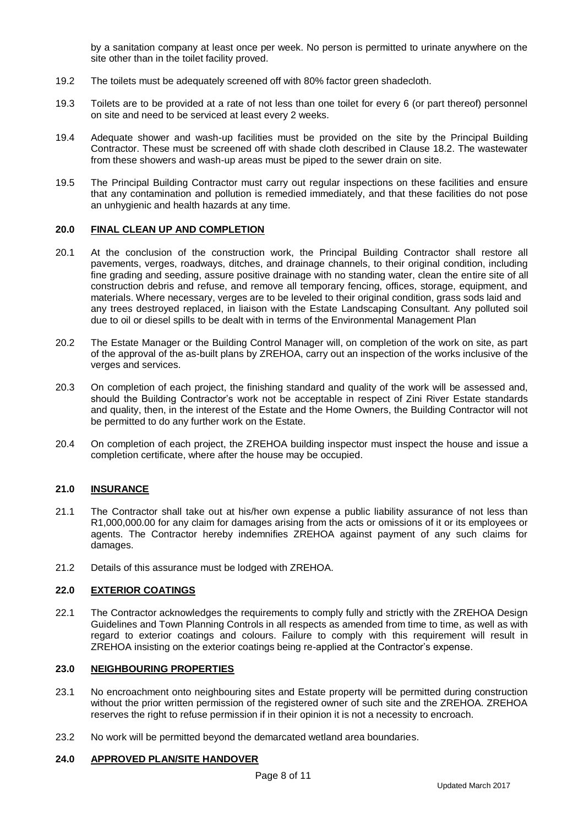by a sanitation company at least once per week. No person is permitted to urinate anywhere on the site other than in the toilet facility proved.

- 19.2 The toilets must be adequately screened off with 80% factor green shadecloth.
- 19.3 Toilets are to be provided at a rate of not less than one toilet for every 6 (or part thereof) personnel on site and need to be serviced at least every 2 weeks.
- 19.4 Adequate shower and wash-up facilities must be provided on the site by the Principal Building Contractor. These must be screened off with shade cloth described in Clause 18.2. The wastewater from these showers and wash-up areas must be piped to the sewer drain on site.
- 19.5 The Principal Building Contractor must carry out regular inspections on these facilities and ensure that any contamination and pollution is remedied immediately, and that these facilities do not pose an unhygienic and health hazards at any time.

#### **20.0 FINAL CLEAN UP AND COMPLETION**

- 20.1 At the conclusion of the construction work, the Principal Building Contractor shall restore all pavements, verges, roadways, ditches, and drainage channels, to their original condition, including fine grading and seeding, assure positive drainage with no standing water, clean the entire site of all construction debris and refuse, and remove all temporary fencing, offices, storage, equipment, and materials. Where necessary, verges are to be leveled to their original condition, grass sods laid and any trees destroyed replaced, in liaison with the Estate Landscaping Consultant. Any polluted soil due to oil or diesel spills to be dealt with in terms of the Environmental Management Plan
- 20.2 The Estate Manager or the Building Control Manager will, on completion of the work on site, as part of the approval of the as-built plans by ZREHOA, carry out an inspection of the works inclusive of the verges and services.
- 20.3 On completion of each project, the finishing standard and quality of the work will be assessed and, should the Building Contractor's work not be acceptable in respect of Zini River Estate standards and quality, then, in the interest of the Estate and the Home Owners, the Building Contractor will not be permitted to do any further work on the Estate.
- 20.4 On completion of each project, the ZREHOA building inspector must inspect the house and issue a completion certificate, where after the house may be occupied.

#### **21.0 INSURANCE**

- 21.1 The Contractor shall take out at his/her own expense a public liability assurance of not less than R1,000,000.00 for any claim for damages arising from the acts or omissions of it or its employees or agents. The Contractor hereby indemnifies ZREHOA against payment of any such claims for damages.
- 21.2 Details of this assurance must be lodged with ZREHOA.

#### **22.0 EXTERIOR COATINGS**

22.1 The Contractor acknowledges the requirements to comply fully and strictly with the ZREHOA Design Guidelines and Town Planning Controls in all respects as amended from time to time, as well as with regard to exterior coatings and colours. Failure to comply with this requirement will result in ZREHOA insisting on the exterior coatings being re-applied at the Contractor's expense.

#### **23.0 NEIGHBOURING PROPERTIES**

- 23.1 No encroachment onto neighbouring sites and Estate property will be permitted during construction without the prior written permission of the registered owner of such site and the ZREHOA. ZREHOA reserves the right to refuse permission if in their opinion it is not a necessity to encroach.
- 23.2 No work will be permitted beyond the demarcated wetland area boundaries.

#### **24.0 APPROVED PLAN/SITE HANDOVER**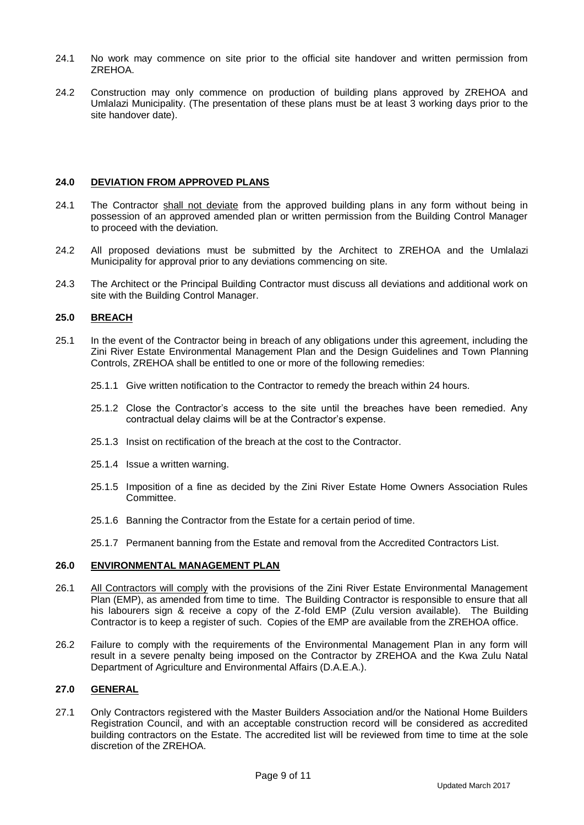- 24.1 No work may commence on site prior to the official site handover and written permission from ZREHOA.
- 24.2 Construction may only commence on production of building plans approved by ZREHOA and Umlalazi Municipality. (The presentation of these plans must be at least 3 working days prior to the site handover date).

#### **24.0 DEVIATION FROM APPROVED PLANS**

- 24.1 The Contractor shall not deviate from the approved building plans in any form without being in possession of an approved amended plan or written permission from the Building Control Manager to proceed with the deviation.
- 24.2 All proposed deviations must be submitted by the Architect to ZREHOA and the Umlalazi Municipality for approval prior to any deviations commencing on site.
- 24.3 The Architect or the Principal Building Contractor must discuss all deviations and additional work on site with the Building Control Manager.

#### **25.0 BREACH**

- 25.1 In the event of the Contractor being in breach of any obligations under this agreement, including the Zini River Estate Environmental Management Plan and the Design Guidelines and Town Planning Controls, ZREHOA shall be entitled to one or more of the following remedies:
	- 25.1.1 Give written notification to the Contractor to remedy the breach within 24 hours.
	- 25.1.2 Close the Contractor's access to the site until the breaches have been remedied. Any contractual delay claims will be at the Contractor's expense.
	- 25.1.3 Insist on rectification of the breach at the cost to the Contractor.
	- 25.1.4 Issue a written warning.
	- 25.1.5 Imposition of a fine as decided by the Zini River Estate Home Owners Association Rules Committee.
	- 25.1.6 Banning the Contractor from the Estate for a certain period of time.
	- 25.1.7 Permanent banning from the Estate and removal from the Accredited Contractors List.

#### **26.0 ENVIRONMENTAL MANAGEMENT PLAN**

- 26.1 All Contractors will comply with the provisions of the Zini River Estate Environmental Management Plan (EMP), as amended from time to time. The Building Contractor is responsible to ensure that all his labourers sign & receive a copy of the Z-fold EMP (Zulu version available). The Building Contractor is to keep a register of such. Copies of the EMP are available from the ZREHOA office.
- 26.2 Failure to comply with the requirements of the Environmental Management Plan in any form will result in a severe penalty being imposed on the Contractor by ZREHOA and the Kwa Zulu Natal Department of Agriculture and Environmental Affairs (D.A.E.A.).

#### **27.0 GENERAL**

27.1 Only Contractors registered with the Master Builders Association and/or the National Home Builders Registration Council, and with an acceptable construction record will be considered as accredited building contractors on the Estate. The accredited list will be reviewed from time to time at the sole discretion of the ZREHOA.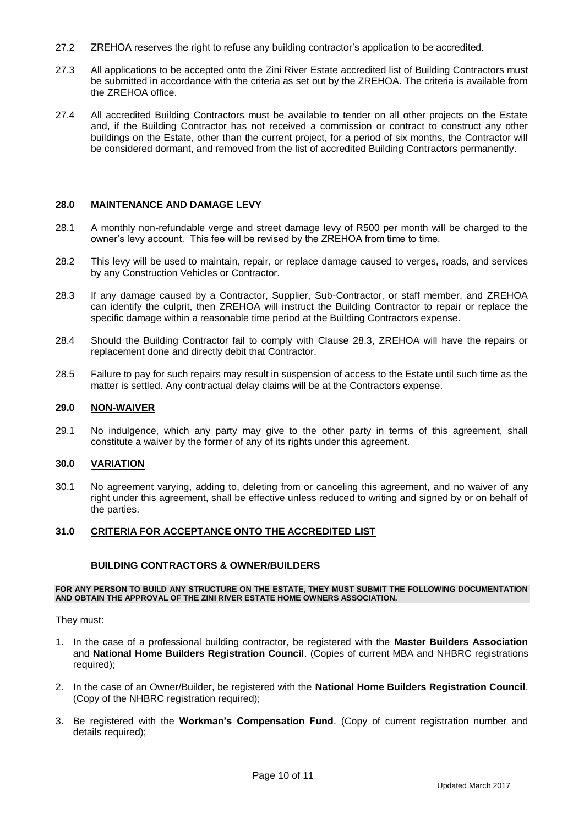- 27.2 ZREHOA reserves the right to refuse any building contractor's application to be accredited.
- 27.3 All applications to be accepted onto the Zini River Estate accredited list of Building Contractors must be submitted in accordance with the criteria as set out by the ZREHOA. The criteria is available from the ZREHOA office.
- 27.4 All accredited Building Contractors must be available to tender on all other projects on the Estate and, if the Building Contractor has not received a commission or contract to construct any other buildings on the Estate, other than the current project, for a period of six months, the Contractor will be considered dormant, and removed from the list of accredited Building Contractors permanently.

#### **28.0 MAINTENANCE AND DAMAGE LEVY**

- 28.1 A monthly non-refundable verge and street damage levy of R500 per month will be charged to the owner's levy account. This fee will be revised by the ZREHOA from time to time.
- 28.2 This levy will be used to maintain, repair, or replace damage caused to verges, roads, and services by any Construction Vehicles or Contractor.
- 28.3 If any damage caused by a Contractor, Supplier, Sub-Contractor, or staff member, and ZREHOA can identify the culprit, then ZREHOA will instruct the Building Contractor to repair or replace the specific damage within a reasonable time period at the Building Contractors expense.
- 28.4 Should the Building Contractor fail to comply with Clause 28.3, ZREHOA will have the repairs or replacement done and directly debit that Contractor.
- 28.5 Failure to pay for such repairs may result in suspension of access to the Estate until such time as the matter is settled. Any contractual delay claims will be at the Contractors expense.

#### **29.0 NON-WAIVER**

29.1 No indulgence, which any party may give to the other party in terms of this agreement, shall constitute a waiver by the former of any of its rights under this agreement.

#### **30.0 VARIATION**

30.1 No agreement varying, adding to, deleting from or canceling this agreement, and no waiver of any right under this agreement, shall be effective unless reduced to writing and signed by or on behalf of the parties.

#### **31.0 CRITERIA FOR ACCEPTANCE ONTO THE ACCREDITED LIST**

#### **BUILDING CONTRACTORS & OWNER/BUILDERS**

#### **FOR ANY PERSON TO BUILD ANY STRUCTURE ON THE ESTATE, THEY MUST SUBMIT THE FOLLOWING DOCUMENTATION AND OBTAIN THE APPROVAL OF THE ZINI RIVER ESTATE HOME OWNERS ASSOCIATION.**

They must:

- 1. In the case of a professional building contractor, be registered with the **Master Builders Association** and **National Home Builders Registration Council**. (Copies of current MBA and NHBRC registrations required);
- 2. In the case of an Owner/Builder, be registered with the **National Home Builders Registration Council**. (Copy of the NHBRC registration required);
- 3. Be registered with the **Workman's Compensation Fund**. (Copy of current registration number and details required);